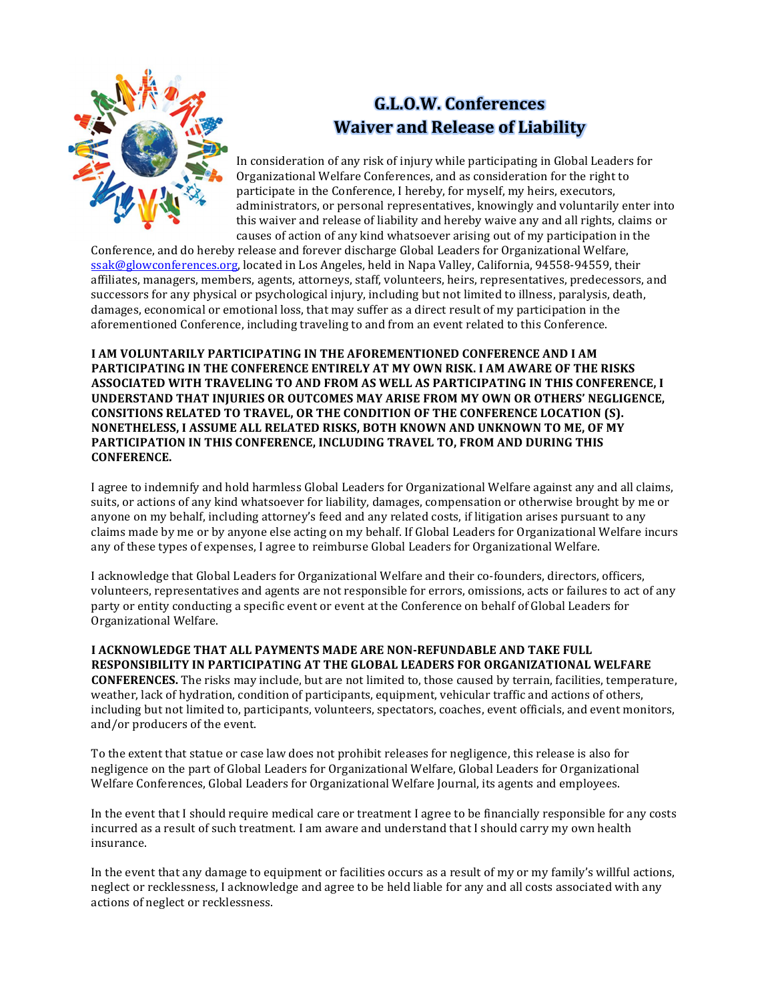

## **G.L.O.W. Conferences Waiver and Release of Liability**

In consideration of any risk of injury while participating in Global Leaders for Organizational Welfare Conferences, and as consideration for the right to participate in the Conference, I hereby, for myself, my heirs, executors, administrators, or personal representatives, knowingly and voluntarily enter into this waiver and release of liability and hereby waive any and all rights, claims or causes of action of any kind whatsoever arising out of my participation in the

Conference, and do hereby release and forever discharge Global Leaders for Organizational Welfare, ssak@glowconferences.org, located in Los Angeles, held in Napa Valley, California, 94558-94559, their affiliates, managers, members, agents, attorneys, staff, volunteers, heirs, representatives, predecessors, and successors for any physical or psychological injury, including but not limited to illness, paralysis, death, damages, economical or emotional loss, that may suffer as a direct result of my participation in the aforementioned Conference, including traveling to and from an event related to this Conference.

**I AM VOLUNTARILY PARTICIPATING IN THE AFOREMENTIONED CONFERENCE AND I AM PARTICIPATING IN THE CONFERENCE ENTIRELY AT MY OWN RISK. I AM AWARE OF THE RISKS** ASSOCIATED WITH TRAVELING TO AND FROM AS WELL AS PARTICIPATING IN THIS CONFERENCE, I **UNDERSTAND THAT INJURIES OR OUTCOMES MAY ARISE FROM MY OWN OR OTHERS' NEGLIGENCE, CONSITIONS RELATED TO TRAVEL, OR THE CONDITION OF THE CONFERENCE LOCATION (S). NONETHELESS, I ASSUME ALL RELATED RISKS, BOTH KNOWN AND UNKNOWN TO ME, OF MY PARTICIPATION IN THIS CONFERENCE, INCLUDING TRAVEL TO, FROM AND DURING THIS CONFERENCE.** 

I agree to indemnify and hold harmless Global Leaders for Organizational Welfare against any and all claims, suits, or actions of any kind whatsoever for liability, damages, compensation or otherwise brought by me or anyone on my behalf, including attorney's feed and any related costs, if litigation arises pursuant to any claims made by me or by anyone else acting on my behalf. If Global Leaders for Organizational Welfare incurs any of these types of expenses, I agree to reimburse Global Leaders for Organizational Welfare.

I acknowledge that Global Leaders for Organizational Welfare and their co-founders, directors, officers, volunteers, representatives and agents are not responsible for errors, omissions, acts or failures to act of any party or entity conducting a specific event or event at the Conference on behalf of Global Leaders for Organizational Welfare. 

**I ACKNOWLEDGE THAT ALL PAYMENTS MADE ARE NON-REFUNDABLE AND TAKE FULL RESPONSIBILITY IN PARTICIPATING AT THE GLOBAL LEADERS FOR ORGANIZATIONAL WELFARE CONFERENCES.** The risks may include, but are not limited to, those caused by terrain, facilities, temperature, weather, lack of hydration, condition of participants, equipment, vehicular traffic and actions of others, including but not limited to, participants, volunteers, spectators, coaches, event officials, and event monitors, and/or producers of the event.

To the extent that statue or case law does not prohibit releases for negligence, this release is also for negligence on the part of Global Leaders for Organizational Welfare, Global Leaders for Organizational Welfare Conferences, Global Leaders for Organizational Welfare Journal, its agents and employees.

In the event that I should require medical care or treatment I agree to be financially responsible for any costs incurred as a result of such treatment. I am aware and understand that I should carry my own health insurance. 

In the event that any damage to equipment or facilities occurs as a result of my or my family's willful actions, neglect or recklessness, I acknowledge and agree to be held liable for any and all costs associated with any actions of neglect or recklessness.